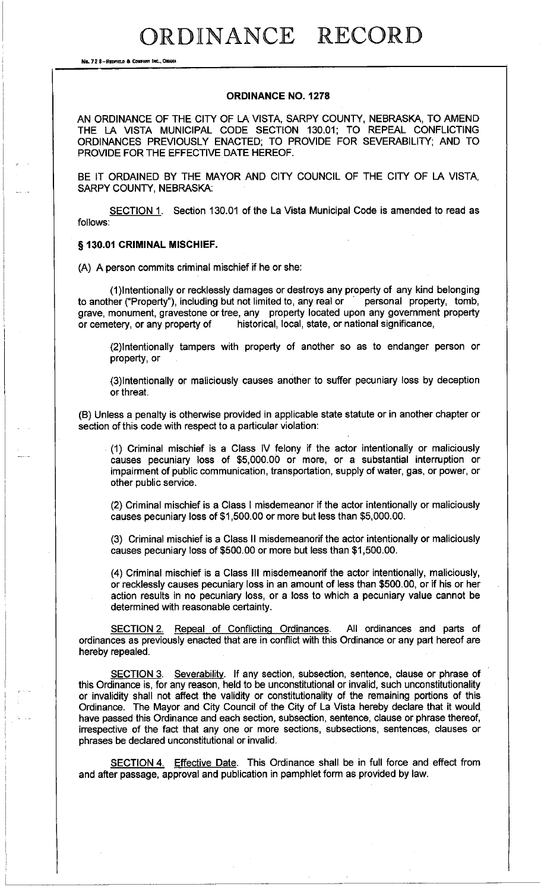RDINANCE RECORD

**No. 72 8-REDFIELD & COMPANY INC., OMAHA** 

## **ORDINANCE NO. 1278**

AN ORDINANCE OF THE CITY OF LA VISTA, SARPY COUNTY, NEBRASKA, TO AMEND THE LA VISTA MUNICIPAL CODE SECTION 130.01; TO REPEAL CONFLICTING ORDINANCES PREVIOUSLY ENACTED; TO PROVIDE FOR SEVERABILITY; AND TO PROVIDE FOR THE EFFECTIVE DATE HEREOF.

BE IT ORDAINED BY THE MAYOR AND CITY COUNCIL OF THE CITY OF LA VISTA, SARPY COUNTY, NEBRASKA:

SECTION 1. Section 130.01 of the La Vista Municipal Code is amended to read as follows:

## § **130.01 CRIMINAL MISCHIEF.**

(A) A person commits criminal mischief if he or she:

(1)Intentionally or recklessly damages or destroys any property of any kind belonging<br>her ("Property"), including but not limited to, any real or some personal property, tomb, to another ("Property"), including but not limited to, any real or grave, monument, gravestone or tree, any property located upon any government property or cemetery, or any property of historical, local, state, or national significance,

(2)1ntentionally tampers with property of another so as to endanger person or property, or

(3)1ntentionally or maliciously causes another to suffer pecuniary loss by deception or threat.

(8) Unless a penalty is otherwise provided in applicable state statute or in another chapter or section of this code with respect to a particular violation:

. (1) Criminal mischief is a Class IV felony if the actor intentionally or maliciously causes pecuniary loss of \$5,000.00 or more, or a substantial interruption or impairment of public communication, transportation, supply of water, gas, or power, or other public service.

(2) Criminal mischief is a Class I misdemeanor if the actor intentionally or maliciously causes pecuniary loss of \$1,500.00 or more but less than \$5,000.00.

(3) Criminal mischief is a Class II misdemeanorif the actor intentionally or maliciously causes pecuniary loss of \$500.00 or more but less than \$1,500.00.

(4) Criminal mischief is a Class Ill misdemeanorif the actor intentionally, maliciously, or recklessly causes pecuniary loss in an amount of less than \$500.00, or if his or her action results in no pecuniary loss, or a loss to which a pecuniary value cannot be determined with reasonable certainty.

SECTION 2. Repeal of Conflicting Ordinances. All ordinances and parts of ordinances as previously enacted that are in conflict with this Ordinance or any part hereof are hereby repealed.

SECTION 3. Severability. If any section, subsection, sentence, clause or phrase of this Ordinance is, for any reason, held to be unconstitutional or invalid, such unconstitutionality or invalidity shall not affect the validity or constitutionality of the remaining portions of this Ordinance. The Mayor and City Council of the City of La Vista hereby declare that it would. have passed this Ordinance and each section, subsection, sentence, clause or phrase thereof, irrespective of the fact that any one or more sections, subsections, sentences, clauses or phrases be declared unconstitutional or invalid.

SECTION 4. Effective Date. This Ordinance shall be in full force and effect from and after passage, approval and publication in pamphlet form as provided by law.